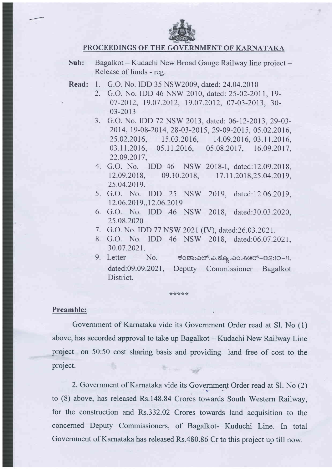

### PROCEEDINGS OF THE GOVERNMENT OF KARNATAKA

- Sub: Bagalkot Kudachi New Broad Gauge Railway line project -Release of funds - reg.
- Read: 1. G.O. No. IDD 35 NSW2009, dated:24.04.2010
	- 2. G.O. No. IDD 46 NSW 2010, dated: 25-02-2011, 19-07-2012, 19.07.2012, 19.07.2012, 07-03-2013, 30-03-2013
	- 3. G.O. No. IDD 72 NSW 2013, dated: 06-12-2013,29-03- 20t4, 19-08-20 t4, 2g-03-20t5, 29-09-2015, 05.02.2016, 25.02.2016, 15.03.2016, 14.09.2016, 03.11.2016, 03.11.2016, 05.11.2016, 05.08.2017, 16.09.2017, 22.09.2017,
	- 4. G.O. No. IDD 46 NSW <sup>201</sup>8-I, dated: 12.09.2018, t2.09.20t8, 09.10.2018, 25.04.2019. 17.11.2018,25.04.2019,
	- 5. G.O. No. IDD 25 NSW 2019, dated:12.06.2019 12.06.2019,,12.06.2019
	- 6. G.O. No. IDD 46 NSW 2018, dated:30.03.2020 25.08.2020
	- 7. G.O. No. IDD 77 NSW 2021(IV), dated:26.03.2021.
	- 8. G.O. No. IDD 46 NSW 2018, dated:06.07.2021, 30.07.202r.
	- 9. Letter No. ಕಂಶಾ:ಎಲ್.ಎ.ಕ್ಯೂ.ಎಂ.ಸಿಆರ್–82:10-11, dated:09.09.2021, Deputy Commissioner Bagalkot District.

#### Preamble:

Government of Karnataka vide its Government Order read at S1. No (1) above, has accorded approval to take up Bagalkot – Kudachi New Railway Line project on 50:50 cost sharing basis and providing land free of cost to the project.

\*\*\*\*\*

2. Government of Karnataka vide its Government Order read at Sl. No (2) to (8) above, has released Rs.148.84 Crores towards South Western Railway, for the construction and Rs.332.02 Crores towards land acquisition to the concerned Deputy Commissioners, of Bagalkot- Kuduchi Line. In total Government of Karnataka has released Rs.480.86 Cr to this project up till now.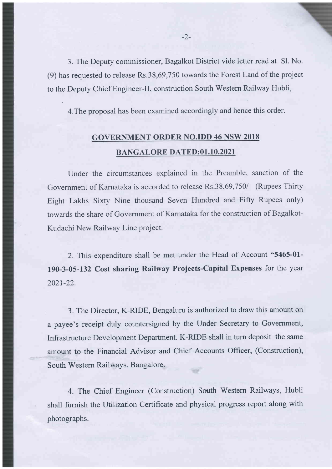3. The Deputy commissioner, Bagalkot District vide letter read at Sl. No. (9) has requested to release Rs.38,69,750 towards the Forest Land of the project to the Deputy Chief Engineer-Il, construction South Western Railway Hubli,

4.The proposal has been examined accordingly and hence this order.

# GOVERNMENT ORDER NO.IDD 46 NSW 2018 BANGALORE DATED:01.10.2021

Under the circumstances explained in the Preamble, sanction of the Government of Karnataka is accorded to release Rs.38,69,750/- (Rupees Thirty Eight Lakhs Sixty Nine thousand Seven Hundred and Fifty Rupees only) towards the share of Government of Karnataka for the construction of Bagalkot-Kudachi New Railway Line project.

2. This expenditure shall be met under the Head of Account "5465-01- 190-3-05-132 Cost sharing Railway Projects-Capital Expenses for the year 2021-22.

3. The Director, K-RIDE, Bengaluru is authorized to draw this amount on a payee's receipt duly countersigned by the Under Secretary to Government, Infrastructure Development Department. K-RIDE shall in turn deposit the same amount to the Financial Advisor and Chief Accounts Offrcer, (Construction), South Western Railways, Bangalore.

4. The Chief Engineer (Construction) South Western Railways, Hubli shall furnish the Utilization Certificate and physical progress report along with photographs.